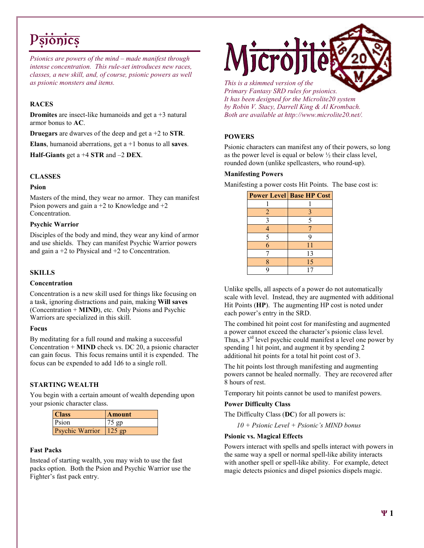# P<del>sionics</del>

*Psionics are powers of the mind – made manifest through intense concentration. This rule-set introduces new races, classes, a new skill, and, of course, psionic powers as well as psionic monsters and items.* 

#### RACES

**Dromites** are insect-like humanoids and get  $a + 3$  natural armor bonus to AC.

**Druegars** are dwarves of the deep and get  $a + 2$  to **STR**.

Elans, humanoid aberrations, get  $a + 1$  bonus to all saves.

Half-Giants get a  $+4$  STR and  $-2$  DEX.

#### **CLASSES**

#### Psion

Masters of the mind, they wear no armor. They can manifest Psion powers and gain  $a + 2$  to Knowledge and  $+2$ Concentration.

#### Psychic Warrior

Disciples of the body and mind, they wear any kind of armor and use shields. They can manifest Psychic Warrior powers and gain  $a + 2$  to Physical and  $+2$  to Concentration.

#### **SKILLS**

#### **Concentration**

Concentration is a new skill used for things like focusing on a task, ignoring distractions and pain, making Will saves (Concentration + MIND), etc. Only Psions and Psychic Warriors are specialized in this skill.

#### Focus

By meditating for a full round and making a successful Concentration + MIND check vs. DC 20, a psionic character can gain focus. This focus remains until it is expended. The focus can be expended to add 1d6 to a single roll.

#### STARTING WEALTH

You begin with a certain amount of wealth depending upon your psionic character class.

| <b>Class</b>    | <b>Amount</b> |
|-----------------|---------------|
| Psion           | $75$ gp       |
| Psychic Warrior | $125$ gp      |

#### Fast Packs

Instead of starting wealth, you may wish to use the fast packs option. Both the Psion and Psychic Warrior use the Fighter's fast pack entry.



*This is a skimmed version of the Primary Fantasy SRD rules for psionics. It has been designed for the Microlite20 system by Robin V. Stacy, Darrell King & Al Krombach. Both are available at http://www.microlite20.net/.*

## POWERS

Psionic characters can manifest any of their powers, so long as the power level is equal or below  $\frac{1}{2}$  their class level, rounded down (unlike spellcasters, who round-up).

#### Manifesting Powers

Manifesting a power costs Hit Points. The base cost is:

|   | <b>Power Level Base HP Cost</b> |
|---|---------------------------------|
|   |                                 |
| 2 |                                 |
| 3 | 5                               |
|   |                                 |
| 5 |                                 |
| 6 | 11                              |
|   | 13                              |
| 8 | 15                              |
| q | 17                              |

Unlike spells, all aspects of a power do not automatically scale with level. Instead, they are augmented with additional Hit Points (HP). The augmenting HP cost is noted under each power's entry in the SRD.

The combined hit point cost for manifesting and augmented a power cannot exceed the character's psionic class level. Thus, a  $3<sup>rd</sup>$  level psychic could manifest a level one power by spending 1 hit point, and augment it by spending 2 additional hit points for a total hit point cost of 3.

The hit points lost through manifesting and augmenting powers cannot be healed normally. They are recovered after 8 hours of rest.

Temporary hit points cannot be used to manifest powers.

#### Power Difficulty Class

The Difficulty Class (DC) for all powers is:

*10 + Psionic Level + Psionic's MIND bonus* 

#### Psionic vs. Magical Effects

Powers interact with spells and spells interact with powers in the same way a spell or normal spell-like ability interacts with another spell or spell-like ability. For example, detect magic detects psionics and dispel psionics dispels magic.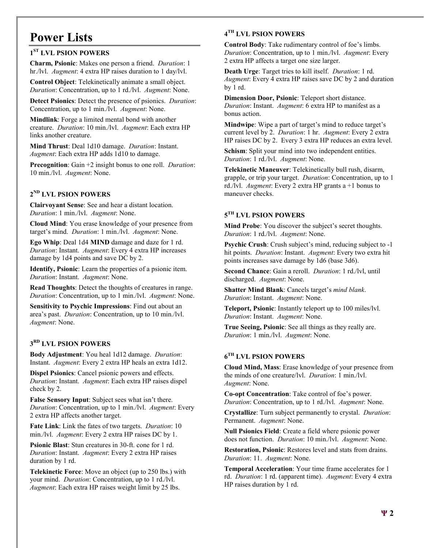# Power Lists

# 1<sup>ST</sup> LVL PSION POWERS

Charm, Psionic: Makes one person a friend. *Duration*: 1 hr./lvl. *Augment*: 4 extra HP raises duration to 1 day/lvl.

Control Object: Telekinetically animate a small object. *Duration*: Concentration, up to 1 rd./lvl. *Augment*: None.

Detect Psionics: Detect the presence of psionics. *Duration*: Concentration, up to 1 min./lvl. *Augment*: None.

Mindlink: Forge a limited mental bond with another creature. *Duration*: 10 min./lvl. *Augment*: Each extra HP links another creature.

Mind Thrust: Deal 1d10 damage. *Duration*: Instant. *Augment*: Each extra HP adds 1d10 to damage.

Precognition: Gain +2 insight bonus to one roll. *Duration*: 10 min./lvl. *Augment*: None.

# 2 ND LVL PSION POWERS

Clairvoyant Sense: See and hear a distant location. *Duration*: 1 min./lvl. *Augment*: None.

Cloud Mind: You erase knowledge of your presence from target's mind. *Duration*: 1 min./lvl. *Augment*: None.

Ego Whip: Deal 1d4 MIND damage and daze for 1 rd. *Duration*: Instant. *Augment*: Every 4 extra HP increases damage by 1d4 points and save DC by 2.

Identify, Psionic: Learn the properties of a psionic item. *Duration*: Instant. *Augment*: None.

Read Thoughts: Detect the thoughts of creatures in range. *Duration*: Concentration, up to 1 min./lvl. *Augment*: None.

Sensitivity to Psychic Impressions: Find out about an area's past. *Duration*: Concentration, up to 10 min./lvl. *Augment*: None.

# 3 RD LVL PSION POWERS

Body Adjustment: You heal 1d12 damage. *Duration*: Instant. *Augment*: Every 2 extra HP heals an extra 1d12.

Dispel Psionics: Cancel psionic powers and effects. *Duration*: Instant. *Augment*: Each extra HP raises dispel check by 2.

False Sensory Input: Subject sees what isn't there. *Duration*: Concentration, up to 1 min./lvl. *Augment*: Every 2 extra HP affects another target.

Fate Link: Link the fates of two targets. *Duration*: 10 min./lvl. *Augment*: Every 2 extra HP raises DC by 1.

Psionic Blast: Stun creatures in 30-ft. cone for 1 rd. *Duration*: Instant. *Augment*: Every 2 extra HP raises duration by 1 rd.

Telekinetic Force: Move an object (up to 250 lbs.) with your mind. *Duration*: Concentration, up to 1 rd./lvl. *Augment*: Each extra HP raises weight limit by 25 lbs.

## 4 TH LVL PSION POWERS

Control Body: Take rudimentary control of foe's limbs. *Duration*: Concentration, up to 1 min./lvl. *Augment*: Every 2 extra HP affects a target one size larger.

Death Urge: Target tries to kill itself. *Duration*: 1 rd. *Augment*: Every 4 extra HP raises save DC by 2 and duration by 1 rd.

Dimension Door, Psionic: Teleport short distance. *Duration*: Instant. *Augment*: 6 extra HP to manifest as a bonus action.

Mindwipe: Wipe a part of target's mind to reduce target's current level by 2. *Duration*: 1 hr. *Augment*: Every 2 extra HP raises DC by 2. Every 3 extra HP reduces an extra level.

Schism: Split your mind into two independent entities. *Duration*: 1 rd./lvl. *Augment*: None.

Telekinetic Maneuver: Telekinetically bull rush, disarm, grapple, or trip your target. *Duration*: Concentration, up to 1 rd./lvl. *Augment*: Every 2 extra HP grants a +1 bonus to maneuver checks.

# $5^{TH}$  LVL PSION POWERS

Mind Probe: You discover the subject's secret thoughts. *Duration*: 1 rd./lvl. *Augment*: None.

Psychic Crush: Crush subject's mind, reducing subject to -1 hit points. *Duration*: Instant. *Augment*: Every two extra hit points increases save damage by 1d6 (base 3d6).

Second Chance: Gain a reroll. *Duration*: 1 rd./lvl, until discharged. *Augment*: None.

Shatter Mind Blank: Cancels target's *mind blank*. *Duration*: Instant. *Augment*: None.

Teleport, Psionic: Instantly teleport up to 100 miles/lvl. *Duration*: Instant. *Augment*: None.

True Seeing, Psionic: See all things as they really are. *Duration*: 1 min./lvl. *Augment*: None.

## $6^{TH}$  LVL PSION POWERS

Cloud Mind, Mass: Erase knowledge of your presence from the minds of one creature/lvl. *Duration*: 1 min./lvl. *Augment*: None.

Co-opt Concentration: Take control of foe's power. *Duration*: Concentration, up to 1 rd./lvl. *Augment*: None.

Crystallize: Turn subject permanently to crystal. *Duration*: Permanent. *Augment*: None.

Null Psionics Field: Create a field where psionic power does not function. *Duration*: 10 min./lvl. *Augment*: None.

Restoration, Psionic: Restores level and stats from drains. *Duration*: 11. *Augment*: None.

Temporal Acceleration: Your time frame accelerates for 1 rd. *Duration*: 1 rd. (apparent time). *Augment*: Every 4 extra HP raises duration by 1 rd.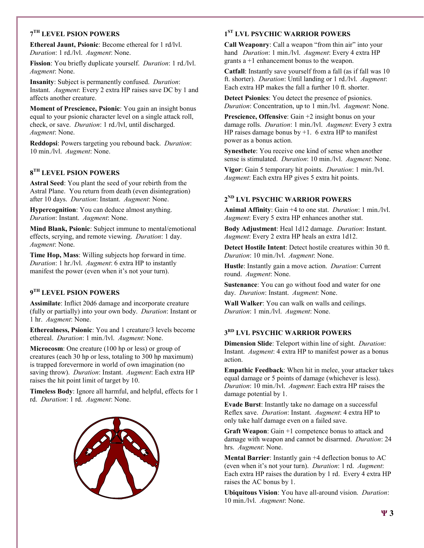## 7 TH LEVEL PSION POWERS

Ethereal Jaunt, Psionic: Become ethereal for 1 rd/lvl. *Duration*: 1 rd./lvl. *Augment*: None.

Fission: You briefly duplicate yourself. *Duration*: 1 rd./lvl. *Augment*: None.

Insanity: Subject is permanently confused. *Duration*: Instant. *Augment*: Every 2 extra HP raises save DC by 1 and affects another creature.

Moment of Prescience, Psionic: You gain an insight bonus equal to your psionic character level on a single attack roll, check, or save. *Duration*: 1 rd./lvl, until discharged. *Augment*: None.

Reddopsi: Powers targeting you rebound back. *Duration*: 10 min./lvl. *Augment*: None.

# $8^{TH}$  LEVEL PSION POWERS

Astral Seed: You plant the seed of your rebirth from the Astral Plane. You return from death (even disintegration) after 10 days. *Duration*: Instant. *Augment*: None.

Hypercognition: You can deduce almost anything. *Duration*: Instant. *Augment*: None.

Mind Blank, Psionic: Subject immune to mental/emotional effects, scrying, and remote viewing. *Duration*: 1 day. *Augment*: None.

Time Hop, Mass: Willing subjects hop forward in time. *Duration*: 1 hr./lvl. *Augment*: 6 extra HP to instantly manifest the power (even when it's not your turn).

## 9<sup>th</sup> LEVEL PSION POWERS

Assimilate: Inflict 20d6 damage and incorporate creature (fully or partially) into your own body. *Duration*: Instant or 1 hr. *Augment*: None.

Etherealness, Psionic: You and 1 creature/3 levels become ethereal. *Duration*: 1 min./lvl. *Augment*: None.

Microcosm: One creature (100 hp or less) or group of creatures (each 30 hp or less, totaling to 300 hp maximum) is trapped forevermore in world of own imagination (no saving throw). *Duration*: Instant. *Augment*: Each extra HP raises the hit point limit of target by 10.

Timeless Body: Ignore all harmful, and helpful, effects for 1 rd. *Duration*: 1 rd. *Augment*: None.



# 1<sup>ST</sup> LVL PSYCHIC WARRIOR POWERS

Call Weaponry: Call a weapon "from thin air" into your hand *Duration*: 1 min./lvl. *Augment*: Every 4 extra HP grants a +1 enhancement bonus to the weapon.

Catfall: Instantly save yourself from a fall (as if fall was 10 ft. shorter). *Duration*: Until landing or 1 rd./lvl. *Augment*: Each extra HP makes the fall a further 10 ft. shorter.

Detect Psionics: You detect the presence of psionics. *Duration*: Concentration, up to 1 min./lvl. *Augment*: None.

Prescience, Offensive: Gain +2 insight bonus on your damage rolls. *Duration*: 1 min./lvl. *Augment*: Every 3 extra HP raises damage bonus by  $+1$ . 6 extra HP to manifest power as a bonus action.

Synesthete: You receive one kind of sense when another sense is stimulated. *Duration*: 10 min./lvl. *Augment*: None.

Vigor: Gain 5 temporary hit points. *Duration*: 1 min./lvl. *Augment*: Each extra HP gives 5 extra hit points.

### 2 ND LVL PSYCHIC WARRIOR POWERS

Animal Affinity: Gain +4 to one stat. *Duration*: 1 min./lvl. *Augment*: Every 5 extra HP enhances another stat.

Body Adjustment: Heal 1d12 damage. *Duration*: Instant. *Augment*: Every 2 extra HP heals an extra 1d12.

Detect Hostile Intent: Detect hostile creatures within 30 ft. *Duration*: 10 min./lvl. *Augment*: None.

Hustle: Instantly gain a move action. *Duration*: Current round. *Augment*: None.

Sustenance: You can go without food and water for one day. *Duration*: Instant. *Augment*: None.

Wall Walker: You can walk on walls and ceilings. *Duration*: 1 min./lvl. *Augment*: None.

#### 3 RD LVL PSYCHIC WARRIOR POWERS

Dimension Slide: Teleport within line of sight. *Duration*: Instant. *Augment*: 4 extra HP to manifest power as a bonus action.

Empathic Feedback: When hit in melee, your attacker takes equal damage or 5 points of damage (whichever is less). *Duration*: 10 min./lvl. *Augment*: Each extra HP raises the damage potential by 1.

Evade Burst: Instantly take no damage on a successful Reflex save. *Duration*: Instant. *Augment*: 4 extra HP to only take half damage even on a failed save.

Graft Weapon: Gain +1 competence bonus to attack and damage with weapon and cannot be disarmed. *Duration*: 24 hrs. *Augment*: None.

Mental Barrier: Instantly gain +4 deflection bonus to AC (even when it's not your turn). *Duration*: 1 rd. *Augment*: Each extra HP raises the duration by 1 rd. Every 4 extra HP raises the AC bonus by 1.

Ubiquitous Vision: You have all-around vision. *Duration*: 10 min./lvl. *Augment*: None.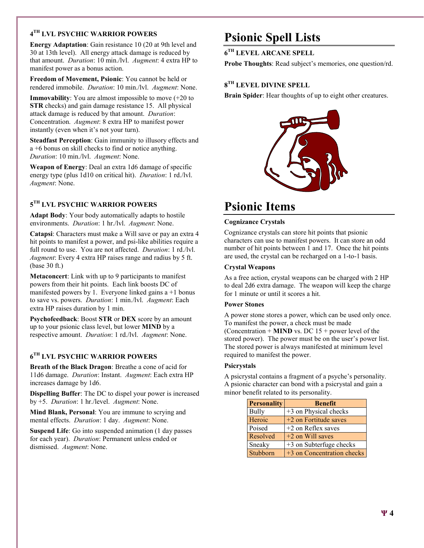# 4 TH LVL PSYCHIC WARRIOR POWERS

Energy Adaptation: Gain resistance 10 (20 at 9th level and 30 at 13th level). All energy attack damage is reduced by that amount. *Duration*: 10 min./lvl. *Augment*: 4 extra HP to manifest power as a bonus action.

Freedom of Movement, Psionic: You cannot be held or rendered immobile. *Duration*: 10 min./lvl. *Augment*: None.

Immovability: You are almost impossible to move (+20 to STR checks) and gain damage resistance 15. All physical attack damage is reduced by that amount. *Duration*: Concentration. *Augment*: 8 extra HP to manifest power instantly (even when it's not your turn).

Steadfast Perception: Gain immunity to illusory effects and a +6 bonus on skill checks to find or notice anything. *Duration*: 10 min./lvl. *Augment*: None.

Weapon of Energy: Deal an extra 1d6 damage of specific energy type (plus 1d10 on critical hit). *Duration*: 1 rd./lvl. *Augment*: None.

## $5^{\mathrm{TH}}$  LVL PSYCHIC WARRIOR POWERS

Adapt Body: Your body automatically adapts to hostile environments. *Duration*: 1 hr./lvl. *Augment*: None.

Catapsi: Characters must make a Will save or pay an extra 4 hit points to manifest a power, and psi-like abilities require a full round to use. You are not affected. *Duration*: 1 rd./lvl. *Augment*: Every 4 extra HP raises range and radius by 5 ft. (base 30 ft.)

Metaconcert: Link with up to 9 participants to manifest powers from their hit points. Each link boosts DC of manifested powers by 1. Everyone linked gains  $a + 1$  bonus to save vs. powers. *Duration*: 1 min./lvl. *Augment*: Each extra HP raises duration by 1 min.

Psychofeedback: Boost STR or DEX score by an amount up to your psionic class level, but lower MIND by a respective amount. *Duration*: 1 rd./lvl. *Augment*: None.

# 6 TH LVL PSYCHIC WARRIOR POWERS

Breath of the Black Dragon: Breathe a cone of acid for 11d6 damage. *Duration*: Instant. *Augment*: Each extra HP increases damage by 1d6.

Dispelling Buffer: The DC to dispel your power is increased by +5. *Duration*: 1 hr./level. *Augment*: None.

Mind Blank, Personal: You are immune to scrying and mental effects. *Duration*: 1 day. *Augment*: None.

Suspend Life: Go into suspended animation (1 day passes for each year). *Duration*: Permanent unless ended or dismissed. *Augment*: None.

# Psionic Spell Lists

6 TH LEVEL ARCANE SPELL

Probe Thoughts: Read subject's memories, one question/rd.

### $8^{\mathrm{TH}}$  LEVEL DIVINE SPELL

Brain Spider: Hear thoughts of up to eight other creatures.



# Psionic Items

#### Cognizance Crystals

Cognizance crystals can store hit points that psionic characters can use to manifest powers. It can store an odd number of hit points between 1 and 17. Once the hit points are used, the crystal can be recharged on a 1-to-1 basis.

#### Crystal Weapons

As a free action, crystal weapons can be charged with 2 HP to deal 2d6 extra damage. The weapon will keep the charge for 1 minute or until it scores a hit.

#### Power Stones

A power stone stores a power, which can be used only once. To manifest the power, a check must be made (Concentration + **MIND** vs. DC  $15 +$  power level of the stored power). The power must be on the user's power list. The stored power is always manifested at minimum level required to manifest the power.

#### **Psicrystals**

A psicrystal contains a fragment of a psyche's personality. A psionic character can bond with a psicrystal and gain a minor benefit related to its personality.

| <b>Personality</b> | <b>Benefit</b>             |
|--------------------|----------------------------|
| <b>Bully</b>       | +3 on Physical checks      |
| Heroic             | +2 on Fortitude saves      |
| Poised             | +2 on Reflex saves         |
| Resolved           | $+2$ on Will saves         |
| Sneaky             | +3 on Subterfuge checks    |
| Stubborn           | +3 on Concentration checks |